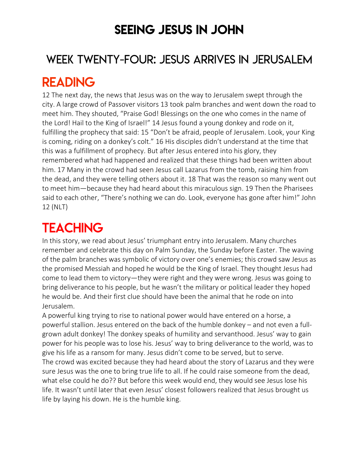## SEEING JESUS IN JOHN

### WEEK TWENTY-FOUR: JESUS ARRIVES IN JERUSALEM

## READING

12 The next day, the news that Jesus was on the way to Jerusalem swept through the city. A large crowd of Passover visitors 13 took palm branches and went down the road to meet him. They shouted, "Praise God! Blessings on the one who comes in the name of the Lord! Hail to the King of Israel!" 14 Jesus found a young donkey and rode on it, fulfilling the prophecy that said: 15 "Don't be afraid, people of Jerusalem. Look, your King is coming, riding on a donkey's colt." 16 His disciples didn't understand at the time that this was a fulfillment of prophecy. But after Jesus entered into his glory, they remembered what had happened and realized that these things had been written about him. 17 Many in the crowd had seen Jesus call Lazarus from the tomb, raising him from the dead, and they were telling others about it. 18 That was the reason so many went out to meet him—because they had heard about this miraculous sign. 19 Then the Pharisees said to each other, "There's nothing we can do. Look, everyone has gone after him!" John 12 (NLT)

# **TEACHING**

In this story, we read about Jesus' triumphant entry into Jerusalem. Many churches remember and celebrate this day on Palm Sunday, the Sunday before Easter. The waving of the palm branches was symbolic of victory over one's enemies; this crowd saw Jesus as the promised Messiah and hoped he would be the King of Israel. They thought Jesus had come to lead them to victory—they were right and they were wrong. Jesus was going to bring deliverance to his people, but he wasn't the military or political leader they hoped he would be. And their first clue should have been the animal that he rode on into Jerusalem.

A powerful king trying to rise to national power would have entered on a horse, a powerful stallion. Jesus entered on the back of the humble donkey – and not even a fullgrown adult donkey! The donkey speaks of humility and servanthood. Jesus' way to gain power for his people was to lose his. Jesus' way to bring deliverance to the world, was to give his life as a ransom for many. Jesus didn't come to be served, but to serve. The crowd was excited because they had heard about the story of Lazarus and they were sure Jesus was the one to bring true life to all. If he could raise someone from the dead, what else could he do?? But before this week would end, they would see Jesus lose his life. It wasn't until later that even Jesus' closest followers realized that Jesus brought us life by laying his down. He is the humble king.